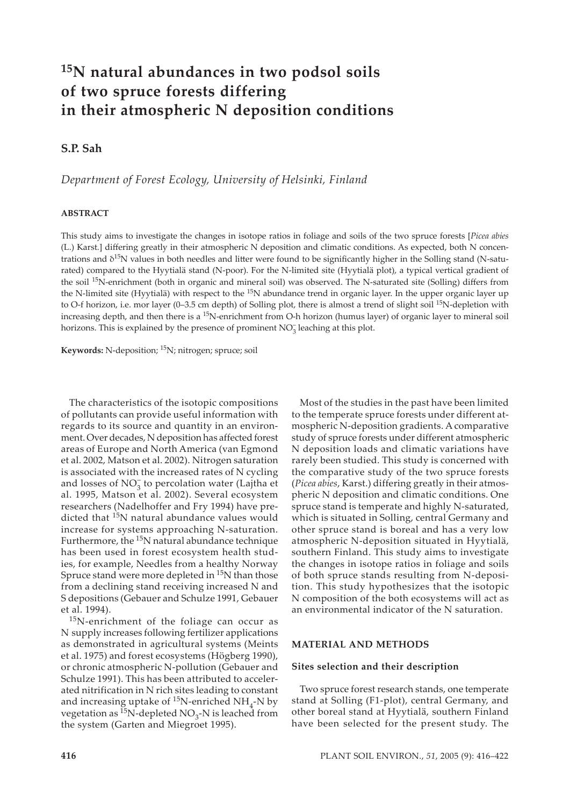# **15N natural abundances in two podsol soils of two spruce forests differing in their atmospheric N deposition conditions**

## **S.P. Sah**

*Department of Forest Ecology, University of Helsinki, Finland*

#### **ABSTRACT**

This study aims to investigate the changes in isotope ratios in foliage and soils of the two spruce forests [*Picea abies* (L.) Karst*.*] differing greatly in their atmospheric N deposition and climatic conditions. As expected, both N concentrations and  $\delta^{15}N$  values in both needles and litter were found to be significantly higher in the Solling stand (N-saturated) compared to the Hyytialä stand (N-poor). For the N-limited site (Hyytialä plot), a typical vertical gradient of the soil <sup>15</sup>N-enrichment (both in organic and mineral soil) was observed. The N-saturated site (Solling) differs from the N-limited site (Hyytialä) with respect to the <sup>15</sup>N abundance trend in organic layer. In the upper organic layer up to O-f horizon, i.e. mor layer (0-3.5 cm depth) of Solling plot, there is almost a trend of slight soil <sup>15</sup>N-depletion with increasing depth, and then there is a <sup>15</sup>N-enrichment from O-h horizon (humus layer) of organic layer to mineral soil horizons. This is explained by the presence of prominent  $NO<sub>3</sub><sup>-</sup>$  leaching at this plot.

**Keywords:** N-deposition; 15N; nitrogen; spruce; soil

The characteristics of the isotopic compositions of pollutants can provide useful information with regards to its source and quantity in an environment. Over decades, N deposition has affected forest areas of Europe and North America (van Egmond et al. 2002, Matson et al. 2002). Nitrogen saturation is associated with the increased rates of N cycling and losses of  $NO_3^-$  to percolation water (Lajtha et al. 1995, Matson et al. 2002). Several ecosystem researchers (Nadelhoffer and Fry 1994) have predicted that 15N natural abundance values would increase for systems approaching N-saturation. Furthermore, the <sup>15</sup>N natural abundance technique has been used in forest ecosystem health studies, for example, Needles from a healthy Norway Spruce stand were more depleted in  $15N$  than those from a declining stand receiving increased N and S depositions (Gebauer and Schulze 1991, Gebauer et al. 1994).

15N-enrichment of the foliage can occur as N supply increases following fertilizer applications as demonstrated in agricultural systems (Meints et al. 1975) and forest ecosystems (Högberg 1990), or chronic atmospheric N-pollution (Gebauer and Schulze 1991). This has been attributed to accelerated nitrification in N rich sites leading to constant and increasing uptake of  $^{15}N$ -enriched NH<sub>4</sub>-N by vegetation as  ${}^{15}N$ -depleted NO<sub>3</sub>-N is leached from the system (Garten and Miegroet 1995).

Most of the studies in the past have been limited to the temperate spruce forests under different atmospheric N-deposition gradients. A comparative study of spruce forests under different atmospheric N deposition loads and climatic variations have rarely been studied. This study is concerned with the comparative study of the two spruce forests (*Picea abies*, Karst.) differing greatly in their atmospheric N deposition and climatic conditions. One spruce stand is temperate and highly N-saturated, which is situated in Solling, central Germany and other spruce stand is boreal and has a very low atmospheric N-deposition situated in Hyytialä, southern Finland. This study aims to investigate the changes in isotope ratios in foliage and soils of both spruce stands resulting from N-deposition. This study hypothesizes that the isotopic N composition of the both ecosystems will act as an environmental indicator of the N saturation.

#### **MATERIAL AND METHODS**

#### **Sites selection and their description**

Two spruce forest research stands, one temperate stand at Solling (F1-plot), central Germany, and other boreal stand at Hyytialä, southern Finland have been selected for the present study. The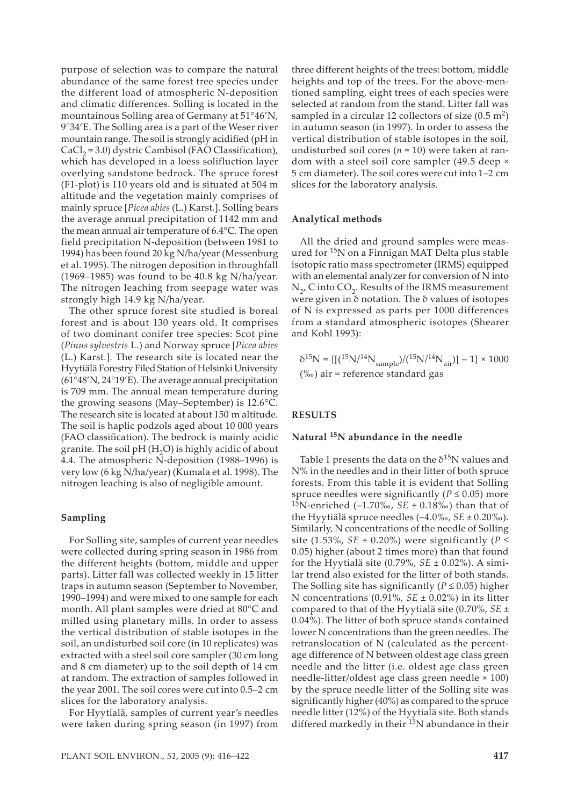purpose of selection was to compare the natural abundance of the same forest tree species under the different load of atmospheric N-deposition and climatic differences. Solling is located in the mountainous Solling area of Germany at 51°46'N, 9°34'E. The Solling area is a part of the Weser river mountain range. The soil is strongly acidified (pH in  $CaCl<sub>2</sub> = 3.0$ ) dystric Cambisol (FAO Classification), which has developed in a loess solifluction layer overlying sandstone bedrock. The spruce forest (F1-plot) is 110 years old and is situated at 504 m altitude and the vegetation mainly comprises of mainly spruce [*Picea abies* (L.) Karst*.*]. Solling bears the average annual precipitation of 1142 mm and the mean annual air temperature of 6.4°C. The open field precipitation N-deposition (between 1981 to 1994) has been found 20 kg N/ha/year (Messenburg et al. 1995). The nitrogen deposition in throughfall (1969–1985) was found to be 40.8 kg N/ha/year. The nitrogen leaching from seepage water was strongly high 14.9 kg N/ha/year.

The other spruce forest site studied is boreal forest and is about 130 years old. It comprises of two dominant conifer tree species: Scot pine (*Pinus sylvestris* L.) and Norway spruce [*Picea abies* (L.) Karst*.*]*.* The research site is located near the Hyytiälä Forestry Filed Station of Helsinki University (61°48'N, 24°19'E). The average annual precipitation is 709 mm. The annual mean temperature during the growing seasons (May–September) is 12.6°C. The research site is located at about 150 m altitude. The soil is haplic podzols aged about 10 000 years (FAO classification). The bedrock is mainly acidic granite. The soil  $pH(H_2O)$  is highly acidic of about 4.4. The atmospheric N-deposition (1988–1996) is very low (6 kg N/ha/year) (Kumala et al. 1998). The nitrogen leaching is also of negligible amount.

#### **Sampling**

For Solling site, samples of current year needles were collected during spring season in 1986 from the different heights (bottom, middle and upper parts). Litter fall was collected weekly in 15 litter traps in autumn season (September to November, 1990–1994) and were mixed to one sample for each month. All plant samples were dried at 80°C and milled using planetary mills. In order to assess the vertical distribution of stable isotopes in the soil, an undisturbed soil core (in 10 replicates) was extracted with a steel soil core sampler (30 cm long and 8 cm diameter) up to the soil depth of 14 cm at random. The extraction of samples followed in the year 2001. The soil cores were cut into 0.5–2 cm slices for the laboratory analysis.

For Hyytialä, samples of current year's needles were taken during spring season (in 1997) from

three different heights of the trees: bottom, middle heights and top of the trees. For the above-mentioned sampling, eight trees of each species were selected at random from the stand. Litter fall was sampled in a circular 12 collectors of size  $(0.5 \text{ m}^2)$ in autumn season (in 1997). In order to assess the vertical distribution of stable isotopes in the soil, undisturbed soil cores ( $n = 10$ ) were taken at random with a steel soil core sampler (49.5 deep × 5 cm diameter). The soil cores were cut into 1–2 cm slices for the laboratory analysis.

#### **Analytical methods**

All the dried and ground samples were measured for <sup>15</sup>N on a Finnigan MAT Delta plus stable isotopic ratio mass spectrometer (IRMS) equipped with an elemental analyzer for conversion of N into  $N_{2}$ , C into CO<sub>2</sub>. Results of the IRMS measurement were given in δ notation. The δ values of isotopes of N is expressed as parts per 1000 differences from a standard atmospheric isotopes (Shearer and Kohl 1993):

$$
\delta^{15}N = \{[(1^5N)^{14}N_{sample})/(1^5N)^{14}N_{air})] - 1\} \times 1000
$$
  
(‰) air = reference standard gas

#### **RESULTS**

## **Natural 15N abundance in the needle**

Table 1 presents the data on the  $\delta^{15}N$  values and N% in the needles and in their litter of both spruce forests. From this table it is evident that Solling spruce needles were significantly ( $P \leq 0.05$ ) more 15N-enriched (–1.70‰, *SE* ± 0.18‰) than that of the Hyytiälä spruce needles (–4.0‰, *SE* ± 0.20‰). Similarly, N concentrations of the needle of Solling site (1.53%, *SE*  $\pm$  0.20%) were significantly (*P*  $\le$ 0.05) higher (about 2 times more) than that found for the Hyytialä site (0.79%, *SE* ± 0.02%). A similar trend also existed for the litter of both stands. The Solling site has significantly ( $P \le 0.05$ ) higher N concentrations (0.91%, *SE* ± 0.02%) in its litter compared to that of the Hyytialä site (0.70%, *SE* ± 0.04%). The litter of both spruce stands contained lower N concentrations than the green needles. The retranslocation of N (calculated as the percentage difference of N between oldest age class green needle and the litter (i.e. oldest age class green needle-litter/oldest age class green needle × 100) by the spruce needle litter of the Solling site was significantly higher (40%) as compared to the spruce needle litter (12%) of the Hyytialä site. Both stands differed markedly in their<sup>15</sup>N abundance in their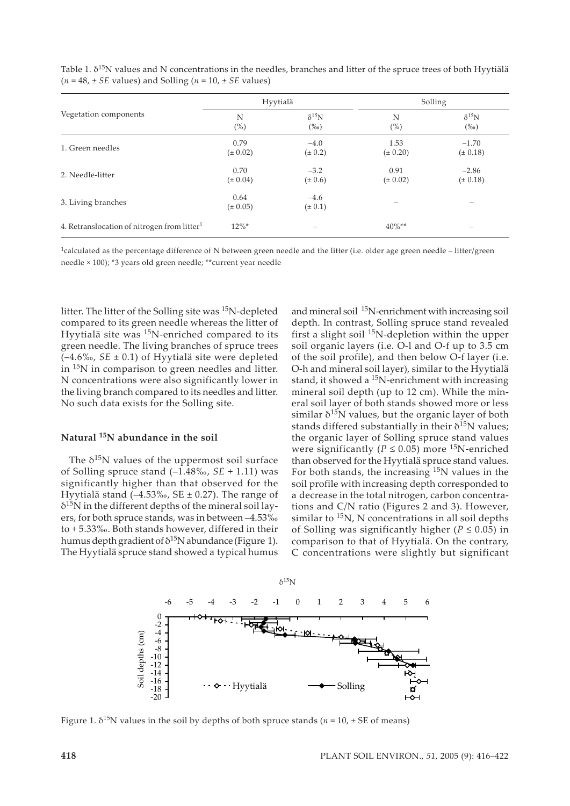| Vegetation components                                   | Hyytialä             |                           | Solling              |                           |
|---------------------------------------------------------|----------------------|---------------------------|----------------------|---------------------------|
|                                                         | N<br>$(\%)$          | $\delta^{15}N$<br>$(\%0)$ | N<br>$(\%)$          | $\delta^{15}N$<br>$(\%0)$ |
| 1. Green needles                                        | 0.79<br>$(\pm 0.02)$ | $-4.0$<br>$(\pm 0.2)$     | 1.53<br>$(\pm 0.20)$ | $-1.70$<br>$(\pm 0.18)$   |
| 2. Needle-litter                                        | 0.70<br>$(\pm 0.04)$ | $-3.2$<br>$(\pm 0.6)$     | 0.91<br>$(\pm 0.02)$ | $-2.86$<br>$(\pm 0.18)$   |
| 3. Living branches                                      | 0.64<br>$(\pm 0.05)$ | $-4.6$<br>$(\pm 0.1)$     |                      |                           |
| 4. Retranslocation of nitrogen from litter <sup>1</sup> | $12\%$ *             | $\qquad \qquad$           | $40\%**$             | -                         |

Table 1.  $\delta^{15}$ N values and N concentrations in the needles, branches and litter of the spruce trees of both Hyytiälä  $(n = 48, \pm SE$  values) and Solling  $(n = 10, \pm SE$  values)

 $1$ calculated as the percentage difference of N between green needle and the litter (i.e. older age green needle – litter/green needle × 100); \*3 years old green needle; \*\*current year needle

litter. The litter of the Solling site was 15N-depleted compared to its green needle whereas the litter of Hyytialä site was 15N-enriched compared to its green needle. The living branches of spruce trees (–4.6‰, *SE* ± 0.1) of Hyytialä site were depleted in 15N in comparison to green needles and litter. N concentrations were also significantly lower in the living branch compared to its needles and litter. No such data exists for the Solling site.

## **Natural 15N abundance in the soil**

The  $\delta^{15}N$  values of the uppermost soil surface of Solling spruce stand (–1.48‰, *SE* + 1.11) was significantly higher than that observed for the Hyytialä stand  $(-4.53\%$ , SE ± 0.27). The range of  $\delta^{15}$ N in the different depths of the mineral soil layers, for both spruce stands, was in between –4.53‰ to + 5.33‰. Both stands however, differed in their humus depth gradient of  $\delta^{15}N$  abundance (Figure 1). The Hyytialä spruce stand showed a typical humus and mineral soil 15N-enrichment with increasing soil depth. In contrast, Solling spruce stand revealed first a slight soil  $^{15}$ N-depletion within the upper soil organic layers (i.e. O-l and O-f up to 3.5 cm of the soil profile), and then below O-f layer (i.e. O-h and mineral soil layer), similar to the Hyytialä stand, it showed a  $^{15}N$ -enrichment with increasing mineral soil depth (up to 12 cm). While the mineral soil layer of both stands showed more or less similar  $\delta^{15}N$  values, but the organic layer of both stands differed substantially in their  $\delta^{15}N$  values; the organic layer of Solling spruce stand values were significantly ( $P \le 0.05$ ) more <sup>15</sup>N-enriched than observed for the Hyytialä spruce stand values. For both stands, the increasing  $15N$  values in the soil profile with increasing depth corresponded to a decrease in the total nitrogen, carbon concentrations and C/N ratio (Figures 2 and 3). However, similar to  $15N$ , N concentrations in all soil depths of Solling was significantly higher ( $P \le 0.05$ ) in comparison to that of Hyytialä. On the contrary, C concentrations were slightly but significant



Figure 1.  $\delta^{15}$ N values in the soil by depths of both spruce stands ( $n = 10$ ,  $\pm$  SE of means)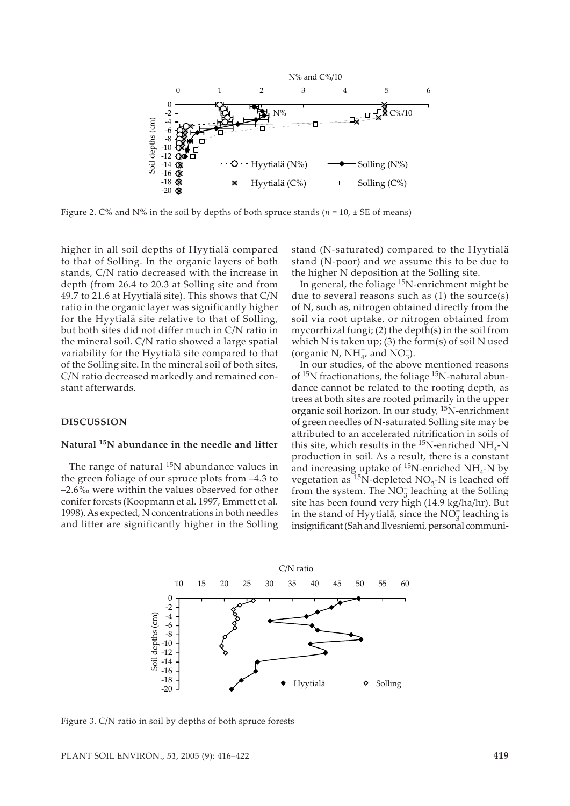

Figure 2. C% and N% in the soil by depths of both spruce stands ( $n = 10$ ,  $\pm$  SE of means)

higher in all soil depths of Hyytialä compared to that of Solling. In the organic layers of both stands, C/N ratio decreased with the increase in depth (from 26.4 to 20.3 at Solling site and from 49.7 to 21.6 at Hyytialä site). This shows that C/N ratio in the organic layer was significantly higher for the Hyytialä site relative to that of Solling, but both sites did not differ much in C/N ratio in the mineral soil. C/N ratio showed a large spatial variability for the Hyytialä site compared to that of the Solling site. In the mineral soil of both sites, C/N ratio decreased markedly and remained constant afterwards.

#### **DISCUSSION**

## **Natural 15N abundance in the needle and litter**

The range of natural  $^{15}N$  abundance values in the green foliage of our spruce plots from –4.3 to –2.6‰ were within the values observed for other conifer forests (Koopmann et al. 1997, Emmett et al. 1998). As expected, N concentrations in both needles and litter are significantly higher in the Solling

stand (N-saturated) compared to the Hyytialä stand (N-poor) and we assume this to be due to the higher N deposition at the Solling site.

In general, the foliage 15N-enrichment might be due to several reasons such as (1) the source(s) of N, such as, nitrogen obtained directly from the soil via root uptake, or nitrogen obtained from mycorrhizal fungi; (2) the depth(s) in the soil from which N is taken up; (3) the form(s) of soil N used (organic N,  $NH_{4'}^+$  and  $NO_3^-$ ).

In our studies, of the above mentioned reasons of <sup>15</sup>N fractionations, the foliage <sup>15</sup>N-natural abundance cannot be related to the rooting depth, as trees at both sites are rooted primarily in the upper organic soil horizon. In our study, 15N-enrichment of green needles of N-saturated Solling site may be attributed to an accelerated nitrification in soils of this site, which results in the  $^{15}$ N-enriched NH<sub>4</sub>-N production in soil. As a result, there is a constant and increasing uptake of  $^{15}N$ -enriched NH<sub>4</sub>-N by vegetation as <sup>15</sup>N-depleted NO<sub>3</sub>-N is leached off from the system. The  $NO_3^-$  leaching at the Solling site has been found very high (14.9 kg/ha/hr). But in the stand of Hyytialä, since the  $NO_3^-$  leaching is insignificant (Sah and Ilvesniemi, personal communi-



Figure 3. C/N ratio in soil by depths of both spruce forests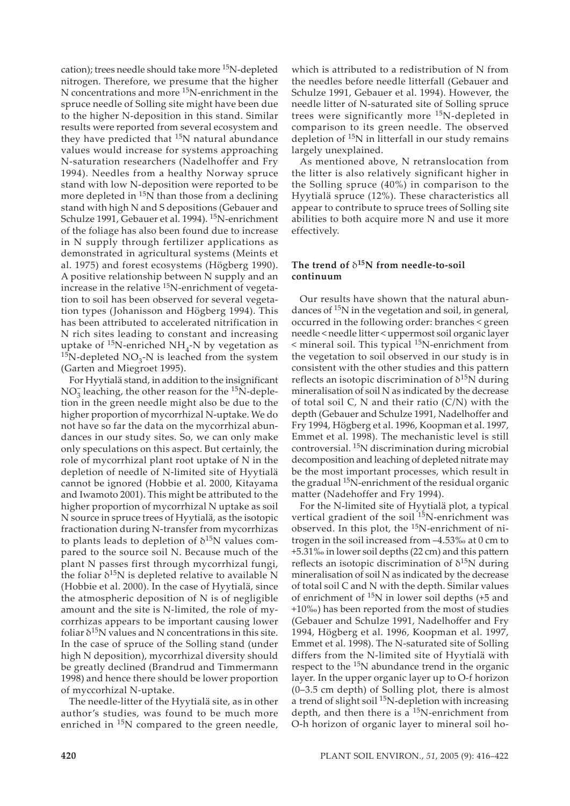cation); trees needle should take more <sup>15</sup>N-depleted nitrogen. Therefore, we presume that the higher N concentrations and more 15N-enrichment in the spruce needle of Solling site might have been due to the higher N-deposition in this stand. Similar results were reported from several ecosystem and they have predicted that <sup>15</sup>N natural abundance values would increase for systems approaching N-saturation researchers (Nadelhoffer and Fry 1994). Needles from a healthy Norway spruce stand with low N-deposition were reported to be more depleted in  $15N$  than those from a declining stand with high N and S depositions (Gebauer and Schulze 1991, Gebauer et al. 1994). 15N-enrichment of the foliage has also been found due to increase in N supply through fertilizer applications as demonstrated in agricultural systems (Meints et al. 1975) and forest ecosystems (Högberg 1990). A positive relationship between N supply and an increase in the relative  $^{15}$ N-enrichment of vegetation to soil has been observed for several vegetation types (Johanisson and Högberg 1994). This has been attributed to accelerated nitrification in N rich sites leading to constant and increasing uptake of  $^{15}$ N-enriched NH<sub>4</sub>-N by vegetation as <sup>15</sup>N-depleted NO<sub>3</sub>-N is leached from the system (Garten and Miegroet 1995).

For Hyytialä stand, in addition to the insignificant  $NO<sub>3</sub><sup>-</sup>$  leaching, the other reason for the <sup>15</sup>N-depletion in the green needle might also be due to the higher proportion of mycorrhizal N-uptake. We do not have so far the data on the mycorrhizal abundances in our study sites. So, we can only make only speculations on this aspect. But certainly, the role of mycorrhizal plant root uptake of N in the depletion of needle of N-limited site of Hyytialä cannot be ignored (Hobbie et al. 2000, Kitayama and Iwamoto 2001). This might be attributed to the higher proportion of mycorrhizal N uptake as soil N source in spruce trees of Hyytialä, as the isotopic fractionation during N-transfer from mycorrhizas to plants leads to depletion of  $\delta^{15}N$  values compared to the source soil N. Because much of the plant N passes first through mycorrhizal fungi, the foliar  $\delta^{15}N$  is depleted relative to available N (Hobbie et al. 2000). In the case of Hyytialä, since the atmospheric deposition of N is of negligible amount and the site is N-limited, the role of mycorrhizas appears to be important causing lower foliar  $\delta^{15}N$  values and N concentrations in this site. In the case of spruce of the Solling stand (under high N deposition), mycorrhizal diversity should be greatly declined (Brandrud and Timmermann 1998) and hence there should be lower proportion of myccorhizal N-uptake.

The needle-litter of the Hyytialä site, as in other author's studies, was found to be much more enriched in  $15N$  compared to the green needle,

which is attributed to a redistribution of N from the needles before needle litterfall (Gebauer and Schulze 1991, Gebauer et al. 1994). However, the needle litter of N-saturated site of Solling spruce trees were significantly more <sup>15</sup>N-depleted in comparison to its green needle. The observed depletion of <sup>15</sup>N in litterfall in our study remains largely unexplained.

As mentioned above, N retranslocation from the litter is also relatively significant higher in the Solling spruce (40%) in comparison to the Hyytialä spruce (12%). These characteristics all appear to contribute to spruce trees of Solling site abilities to both acquire more N and use it more effectively.

## **The trend of** δ**15N from needle-to-soil continuum**

Our results have shown that the natural abundances of  $15N$  in the vegetation and soil, in general, occurred in the following order: branches < green needle < needle litter < uppermost soil organic layer < mineral soil. This typical 15N-enrichment from the vegetation to soil observed in our study is in consistent with the other studies and this pattern reflects an isotopic discrimination of  $δ<sup>15</sup>N$  during mineralisation of soil N as indicated by the decrease of total soil  $C$ ,  $N$  and their ratio  $(C/N)$  with the depth (Gebauer and Schulze 1991, Nadelhoffer and Fry 1994, Högberg et al. 1996, Koopman et al. 1997, Emmet et al. 1998). The mechanistic level is still controversial. 15N discrimination during microbial decomposition and leaching of depleted nitrate may be the most important processes, which result in the gradual  $15N$ -enrichment of the residual organic matter (Nadehoffer and Fry 1994).

For the N-limited site of Hyytialä plot, a typical vertical gradient of the soil <sup>15</sup>N-enrichment was observed. In this plot, the  $15N$ -enrichment of nitrogen in the soil increased from –4.53‰ at 0 cm to +5.31‰ in lower soil depths (22 cm) and this pattern reflects an isotopic discrimination of  $\delta^{15}N$  during mineralisation of soil N as indicated by the decrease of total soil C and N with the depth. Similar values of enrichment of 15N in lower soil depths (+5 and +10‰) has been reported from the most of studies (Gebauer and Schulze 1991, Nadelhoffer and Fry 1994, Högberg et al. 1996, Koopman et al. 1997, Emmet et al. 1998). The N-saturated site of Solling differs from the N-limited site of Hyytialä with respect to the 15N abundance trend in the organic layer. In the upper organic layer up to O-f horizon (0–3.5 cm depth) of Solling plot, there is almost a trend of slight soil  $^{15}N$ -depletion with increasing depth, and then there is a  $15N$ -enrichment from O-h horizon of organic layer to mineral soil ho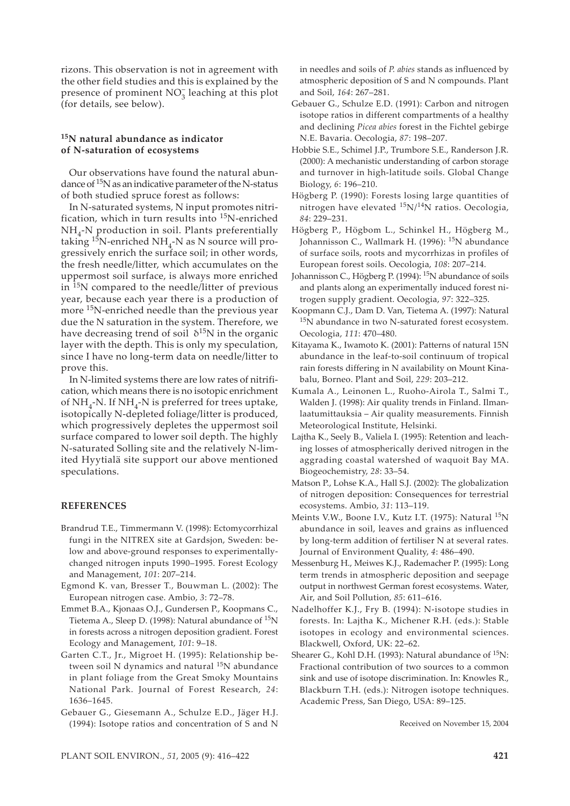rizons. This observation is not in agreement with the other field studies and this is explained by the presence of prominent  $NO_3^-$  leaching at this plot (for details, see below).

## **15N natural abundance as indicator of N-saturation of ecosystems**

Our observations have found the natural abundance of 15N as an indicative parameter of the N-status of both studied spruce forest as follows:

In N-saturated systems, N input promotes nitrification, which in turn results into 15N-enriched  $NH_{4}$ -N production in soil. Plants preferentially taking  $15N$ -enriched NH<sub>4</sub>-N as N source will progressively enrich the surface soil; in other words, the fresh needle/litter, which accumulates on the uppermost soil surface, is always more enriched in <sup>15</sup>N compared to the needle/litter of previous year, because each year there is a production of more 15N-enriched needle than the previous year due the N saturation in the system. Therefore, we have decreasing trend of soil  $\delta^{15}$ N in the organic layer with the depth. This is only my speculation, since I have no long-term data on needle/litter to prove this.

In N-limited systems there are low rates of nitrification, which means there is no isotopic enrichment of NH<sub>4</sub>-N. If NH<sub>4</sub>-N is preferred for trees uptake, isotopically N-depleted foliage/litter is produced, which progressively depletes the uppermost soil surface compared to lower soil depth. The highly N-saturated Solling site and the relatively N-limited Hyytialä site support our above mentioned speculations.

#### **REFERENCES**

- Brandrud T.E., Timmermann V. (1998): Ectomycorrhizal fungi in the NITREX site at Gardsjon, Sweden: below and above-ground responses to experimentallychanged nitrogen inputs 1990–1995. Forest Ecology and Management, *101*: 207–214.
- Egmond K. van, Bresser T., Bouwman L. (2002): The European nitrogen case. Ambio, *3*: 72–78.
- Emmet B.A., Kjonaas O.J., Gundersen P., Koopmans C., Tietema A., Sleep D. (1998): Natural abundance of 15N in forests across a nitrogen deposition gradient. Forest Ecology and Management, *101*: 9–18.
- Garten C.T., Jr., Migroet H. (1995): Relationship between soil N dynamics and natural <sup>15</sup>N abundance in plant foliage from the Great Smoky Mountains National Park. Journal of Forest Research, *24*: 1636–1645.
- Gebauer G., Giesemann A., Schulze E.D., Jäger H.J. (1994): Isotope ratios and concentration of S and N

in needles and soils of *P. abies* stands as influenced by atmospheric deposition of S and N compounds. Plant and Soil, *164*: 267–281.

- Gebauer G., Schulze E.D. (1991): Carbon and nitrogen isotope ratios in different compartments of a healthy and declining *Picea abies* forest in the Fichtel gebirge N.E. Bavaria. Oecologia, *87*: 198–207.
- Hobbie S.E., Schimel J.P., Trumbore S.E., Randerson J.R. (2000): A mechanistic understanding of carbon storage and turnover in high-latitude soils. Global Change Biology, *6*: 196–210.
- Högberg P. (1990): Forests losing large quantities of nitrogen have elevated 15N/14N ratios. Oecologia, *84*: 229–231.
- Högberg P., Högbom L., Schinkel H., Högberg M., Johannisson C., Wallmark H. (1996): <sup>15</sup>N abundance of surface soils, roots and mycorrhizas in profiles of European forest soils. Oecologia, *108*: 207–214.
- Johannisson C., Högberg P. (1994): <sup>15</sup>N abundance of soils and plants along an experimentally induced forest nitrogen supply gradient. Oecologia, *97*: 322–325.
- Koopmann C.J., Dam D. Van, Tietema A. (1997): Natural <sup>15</sup>N abundance in two N-saturated forest ecosystem. Oecologia, *111*: 470–480.
- Kitayama K., Iwamoto K. (2001): Patterns of natural 15N abundance in the leaf-to-soil continuum of tropical rain forests differing in N availability on Mount Kinabalu, Borneo. Plant and Soil, *229*: 203–212.
- Kumala A., Leinonen L., Ruoho-Airola T., Salmi T., Walden J. (1998): Air quality trends in Finland. Ilmanlaatumittauksia – Air quality measurements. Finnish Meteorological Institute, Helsinki.
- Lajtha K., Seely B., Valiela I. (1995): Retention and leaching losses of atmospherically derived nitrogen in the aggrading coastal watershed of waquoit Bay MA. Biogeochemistry, *28*: 33–54.
- Matson P., Lohse K.A., Hall S.J. (2002): The globalization of nitrogen deposition: Consequences for terrestrial ecosystems. Ambio, *31*: 113–119.
- Meints V.W., Boone I.V., Kutz I.T. (1975): Natural 15N abundance in soil, leaves and grains as influenced by long-term addition of fertiliser N at several rates*.* Journal of Environment Quality, *4*: 486–490.
- Messenburg H., Meiwes K.J., Rademacher P. (1995): Long term trends in atmospheric deposition and seepage output in northwest German forest ecosystems. Water, Air, and Soil Pollution, *85*: 611–616.
- Nadelhoffer K.J., Fry B. (1994): N-isotope studies in forests. In: Lajtha K., Michener R.H. (eds.): Stable isotopes in ecology and environmental sciences. Blackwell, Oxford, UK: 22–62.
- Shearer G., Kohl D.H. (1993): Natural abundance of <sup>15</sup>N: Fractional contribution of two sources to a common sink and use of isotope discrimination. In: Knowles R., Blackburn T.H. (eds.): Nitrogen isotope techniques. Academic Press, San Diego, USA: 89–125.

Received on November 15, 2004